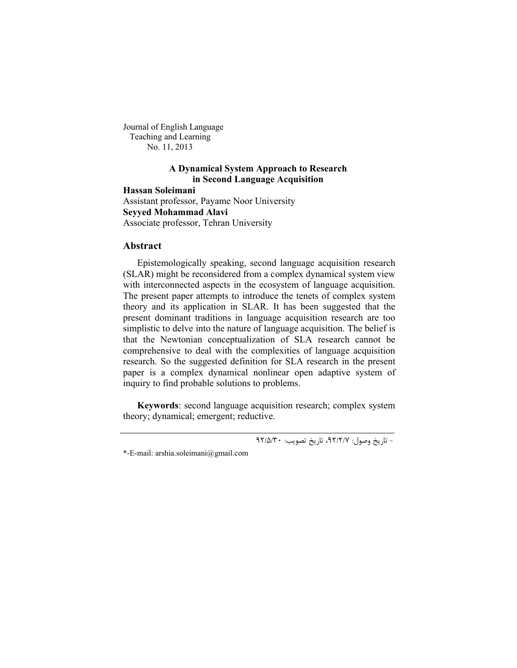Journal of English Language Teaching and Learning No. 11, 2013

# **A Dynamical System Approach to Research in Second Language Acquisition**

**Hassan Soleimani** Assistant professor, Payame Noor University **Seyyed Mohammad Alavi** Associate professor, Tehran University

## **Abstract**

Epistemologically speaking, second language acquisition research (SLAR) might be reconsidered from a complex dynamical system view with interconnected aspects in the ecosystem of language acquisition. The present paper attempts to introduce the tenets of complex system theory and its application in SLAR. It has been suggested that the present dominant traditions in language acquisition research are too simplistic to delve into the nature of language acquisition. The belief is that the Newtonian conceptualization of SLA research cannot be comprehensive to deal with the complexities of language acquisition research. So the suggested definition for SLA research in the present paper is a complex dynamical nonlinear open adaptive system of inquiry to find probable solutions to problems.

**Keywords**: second language acquisition research; complex system theory; dynamical; emergent; reductive.

-<br>- تاریخ وصول: ۹۲/۲/۷، تاریخ تصویب: ۹۲/۵/۳۰

<sup>\*-</sup>E-mail: arshia.soleimani@gmail.com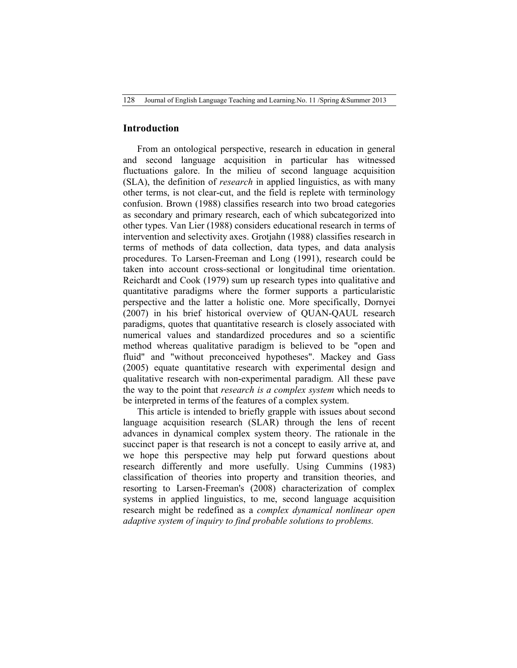#### **Introduction**

From an ontological perspective, research in education in general and second language acquisition in particular has witnessed fluctuations galore. In the milieu of second language acquisition (SLA), the definition of *research* in applied linguistics, as with many other terms, is not clear-cut, and the field is replete with terminology confusion. Brown (1988) classifies research into two broad categories as secondary and primary research, each of which subcategorized into other types. Van Lier (1988) considers educational research in terms of intervention and selectivity axes. Grotjahn (1988) classifies research in terms of methods of data collection, data types, and data analysis procedures. To Larsen-Freeman and Long (1991), research could be taken into account cross-sectional or longitudinal time orientation. Reichardt and Cook (1979) sum up research types into qualitative and quantitative paradigms where the former supports a particularistic perspective and the latter a holistic one. More specifically, Dornyei (2007) in his brief historical overview of QUAN-QAUL research paradigms, quotes that quantitative research is closely associated with numerical values and standardized procedures and so a scientific method whereas qualitative paradigm is believed to be "open and fluid" and "without preconceived hypotheses". Mackey and Gass (2005) equate quantitative research with experimental design and qualitative research with non-experimental paradigm. All these pave the way to the point that *research is a complex system* which needs to be interpreted in terms of the features of a complex system.

This article is intended to briefly grapple with issues about second language acquisition research (SLAR) through the lens of recent advances in dynamical complex system theory. The rationale in the succinct paper is that research is not a concept to easily arrive at, and we hope this perspective may help put forward questions about research differently and more usefully. Using Cummins (1983) classification of theories into property and transition theories, and resorting to Larsen-Freeman's (2008) characterization of complex systems in applied linguistics, to me, second language acquisition research might be redefined as a *complex dynamical nonlinear open adaptive system of inquiry to find probable solutions to problems.*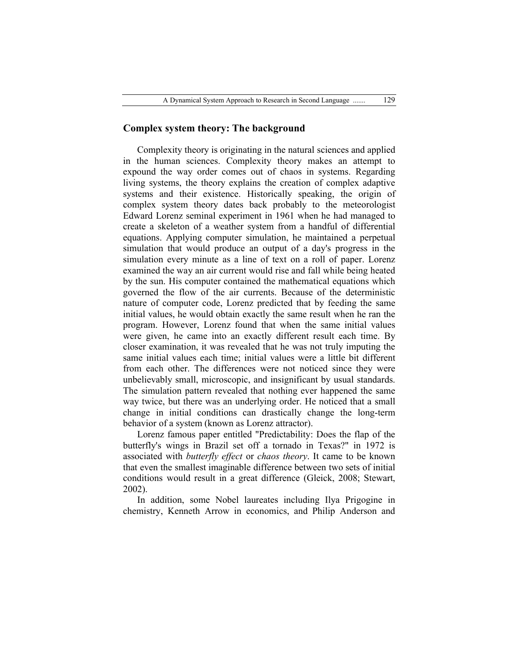## **Complex system theory: The background**

Complexity theory is originating in the natural sciences and applied in the human sciences. Complexity theory makes an attempt to expound the way order comes out of chaos in systems. Regarding living systems, the theory explains the creation of complex adaptive systems and their existence. Historically speaking, the origin of complex system theory dates back probably to the meteorologist Edward Lorenz seminal experiment in 1961 when he had managed to create a skeleton of a weather system from a handful of differential equations. Applying computer simulation, he maintained a perpetual simulation that would produce an output of a day's progress in the simulation every minute as a line of text on a roll of paper. Lorenz examined the way an air current would rise and fall while being heated by the sun. His computer contained the mathematical equations which governed the flow of the air currents. Because of the deterministic nature of computer code, Lorenz predicted that by feeding the same initial values, he would obtain exactly the same result when he ran the program. However, Lorenz found that when the same initial values were given, he came into an exactly different result each time. By closer examination, it was revealed that he was not truly imputing the same initial values each time; initial values were a little bit different from each other. The differences were not noticed since they were unbelievably small, microscopic, and insignificant by usual standards. The simulation pattern revealed that nothing ever happened the same way twice, but there was an underlying order. He noticed that a small change in initial conditions can drastically change the long-term behavior of a system (known as Lorenz attractor).

Lorenz famous paper entitled "Predictability: Does the flap of the butterfly's wings in Brazil set off a tornado in Texas?" in 1972 is associated with *butterfly effect* or *chaos theory*. It came to be known that even the smallest imaginable difference between two sets of initial conditions would result in a great difference (Gleick, 2008; Stewart, 2002).

In addition, some Nobel laureates including Ilya Prigogine in chemistry, Kenneth Arrow in economics, and Philip Anderson and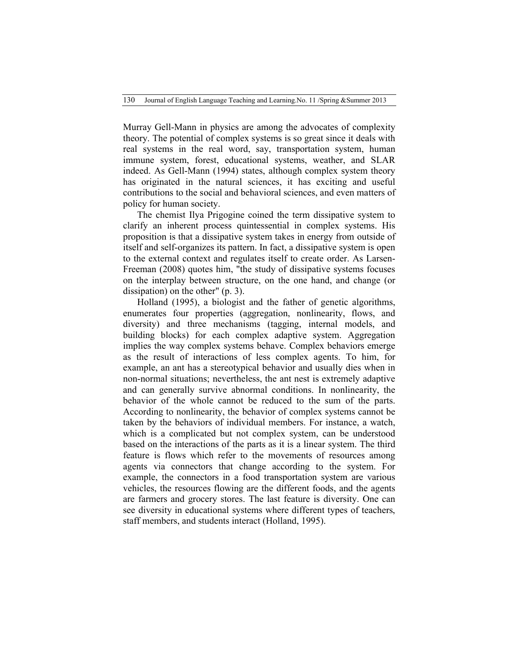130 Journal of English Language Teaching and Learning.No. 11 /Spring &Summer 2013

Murray Gell-Mann in physics are among the advocates of complexity theory. The potential of complex systems is so great since it deals with real systems in the real word, say, transportation system, human immune system, forest, educational systems, weather, and SLAR indeed. As Gell-Mann (1994) states, although complex system theory has originated in the natural sciences, it has exciting and useful contributions to the social and behavioral sciences, and even matters of policy for human society.

The chemist Ilya Prigogine coined the term dissipative system to clarify an inherent process quintessential in complex systems. His proposition is that a dissipative system takes in energy from outside of itself and self-organizes its pattern. In fact, a dissipative system is open to the external context and regulates itself to create order. As Larsen-Freeman (2008) quotes him, "the study of dissipative systems focuses on the interplay between structure, on the one hand, and change (or dissipation) on the other" (p. 3).

Holland (1995), a biologist and the father of genetic algorithms, enumerates four properties (aggregation, nonlinearity, flows, and diversity) and three mechanisms (tagging, internal models, and building blocks) for each complex adaptive system. Aggregation implies the way complex systems behave. Complex behaviors emerge as the result of interactions of less complex agents. To him, for example, an ant has a stereotypical behavior and usually dies when in non-normal situations; nevertheless, the ant nest is extremely adaptive and can generally survive abnormal conditions. In nonlinearity, the behavior of the whole cannot be reduced to the sum of the parts. According to nonlinearity, the behavior of complex systems cannot be taken by the behaviors of individual members. For instance, a watch, which is a complicated but not complex system, can be understood based on the interactions of the parts as it is a linear system. The third feature is flows which refer to the movements of resources among agents via connectors that change according to the system. For example, the connectors in a food transportation system are various vehicles, the resources flowing are the different foods, and the agents are farmers and grocery stores. The last feature is diversity. One can see diversity in educational systems where different types of teachers, staff members, and students interact (Holland, 1995).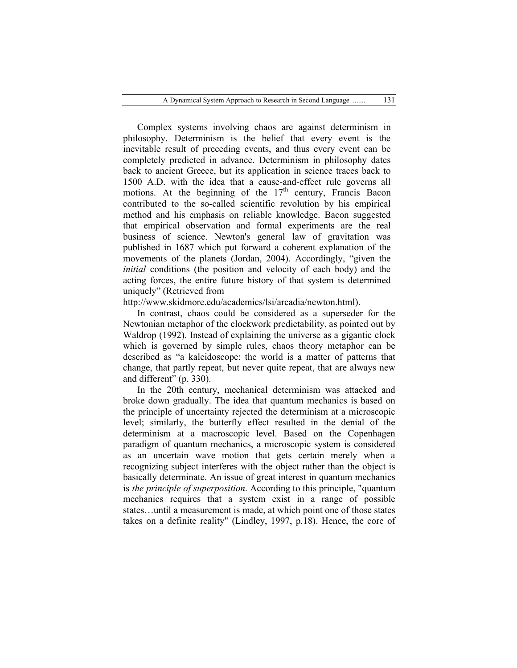Complex systems involving chaos are against determinism in philosophy. Determinism is the belief that every event is the inevitable result of preceding events, and thus every event can be completely predicted in advance. Determinism in philosophy dates back to ancient Greece, but its application in science traces back to 1500 A.D. with the idea that a cause-and-effect rule governs all motions. At the beginning of the  $17<sup>th</sup>$  century, Francis Bacon contributed to the so-called scientific revolution by his empirical method and his emphasis on reliable knowledge. Bacon suggested that empirical observation and formal experiments are the real business of science. Newton's general law of gravitation was published in 1687 which put forward a coherent explanation of the movements of the planets (Jordan, 2004). Accordingly, "given the *initial* conditions (the position and velocity of each body) and the acting forces, the entire future history of that system is determined uniquely" (Retrieved from

http://www.skidmore.edu/academics/lsi/arcadia/newton.html).

In contrast, chaos could be considered as a superseder for the Newtonian metaphor of the clockwork predictability, as pointed out by Waldrop (1992). Instead of explaining the universe as a gigantic clock which is governed by simple rules, chaos theory metaphor can be described as "a kaleidoscope: the world is a matter of patterns that change, that partly repeat, but never quite repeat, that are always new and different" (p. 330).

In the 20th century, mechanical determinism was attacked and broke down gradually. The idea that quantum mechanics is based on the principle of uncertainty rejected the determinism at a microscopic level; similarly, the butterfly effect resulted in the denial of the determinism at a macroscopic level. Based on the Copenhagen paradigm of quantum mechanics, a microscopic system is considered as an uncertain wave motion that gets certain merely when a recognizing subject interferes with the object rather than the object is basically determinate. An issue of great interest in quantum mechanics is *the principle of superposition*. According to this principle, "quantum mechanics requires that a system exist in a range of possible states…until a measurement is made, at which point one of those states takes on a definite reality" (Lindley, 1997, p.18). Hence, the core of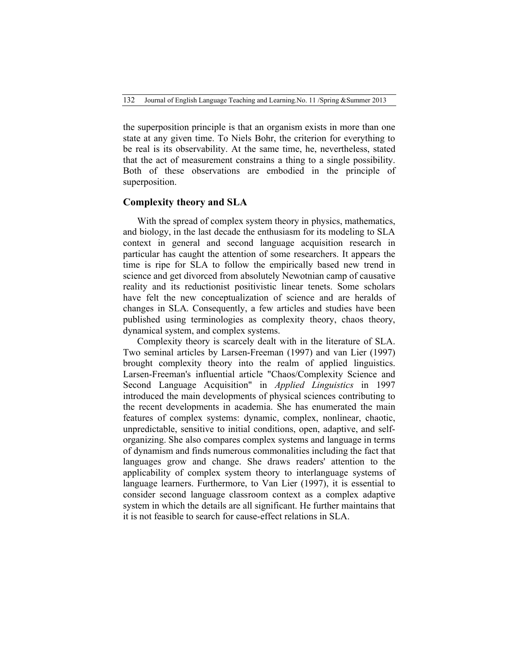the superposition principle is that an organism exists in more than one state at any given time. To Niels Bohr, the criterion for everything to be real is its observability. At the same time, he, nevertheless, stated that the act of measurement constrains a thing to a single possibility. Both of these observations are embodied in the principle of superposition.

## **Complexity theory and SLA**

With the spread of complex system theory in physics, mathematics, and biology, in the last decade the enthusiasm for its modeling to SLA context in general and second language acquisition research in particular has caught the attention of some researchers. It appears the time is ripe for SLA to follow the empirically based new trend in science and get divorced from absolutely Newotnian camp of causative reality and its reductionist positivistic linear tenets. Some scholars have felt the new conceptualization of science and are heralds of changes in SLA. Consequently, a few articles and studies have been published using terminologies as complexity theory, chaos theory, dynamical system, and complex systems.

Complexity theory is scarcely dealt with in the literature of SLA. Two seminal articles by Larsen-Freeman (1997) and van Lier (1997) brought complexity theory into the realm of applied linguistics. Larsen-Freeman's influential article "Chaos/Complexity Science and Second Language Acquisition" in *Applied Linguistics* in 1997 introduced the main developments of physical sciences contributing to the recent developments in academia. She has enumerated the main features of complex systems: dynamic, complex, nonlinear, chaotic, unpredictable, sensitive to initial conditions, open, adaptive, and selforganizing. She also compares complex systems and language in terms of dynamism and finds numerous commonalities including the fact that languages grow and change. She draws readers' attention to the applicability of complex system theory to interlanguage systems of language learners. Furthermore, to Van Lier (1997), it is essential to consider second language classroom context as a complex adaptive system in which the details are all significant. He further maintains that it is not feasible to search for cause-effect relations in SLA.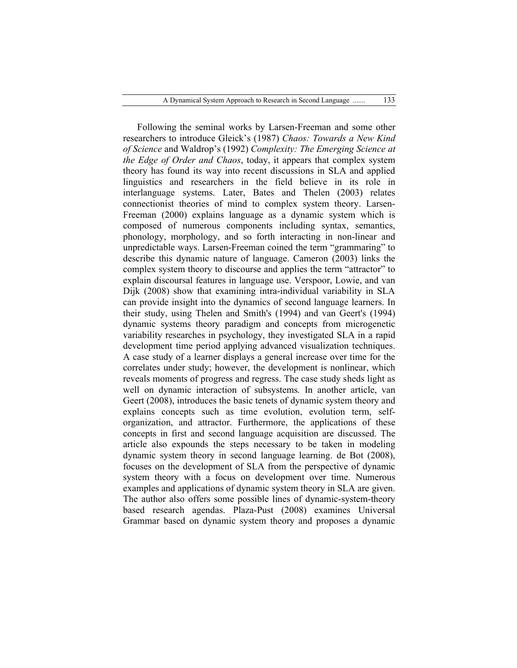Following the seminal works by Larsen-Freeman and some other researchers to introduce Gleick's (1987) *Chaos: Towards a New Kind of Science* and Waldrop's (1992) *Complexity: The Emerging Science at the Edge of Order and Chaos*, today, it appears that complex system theory has found its way into recent discussions in SLA and applied linguistics and researchers in the field believe in its role in interlanguage systems. Later, Bates and Thelen (2003) relates connectionist theories of mind to complex system theory. Larsen-Freeman (2000) explains language as a dynamic system which is composed of numerous components including syntax, semantics, phonology, morphology, and so forth interacting in non-linear and unpredictable ways. Larsen-Freeman coined the term "grammaring" to describe this dynamic nature of language. Cameron (2003) links the complex system theory to discourse and applies the term "attractor" to explain discoursal features in language use. Verspoor, Lowie, and van Dijk (2008) show that examining intra-individual variability in SLA can provide insight into the dynamics of second language learners. In their study, using Thelen and Smith's (1994) and van Geert's (1994) dynamic systems theory paradigm and concepts from microgenetic variability researches in psychology, they investigated SLA in a rapid development time period applying advanced visualization techniques. A case study of a learner displays a general increase over time for the correlates under study; however, the development is nonlinear, which reveals moments of progress and regress. The case study sheds light as well on dynamic interaction of subsystems. In another article, van Geert (2008), introduces the basic tenets of dynamic system theory and explains concepts such as time evolution, evolution term, selforganization, and attractor. Furthermore, the applications of these concepts in first and second language acquisition are discussed. The article also expounds the steps necessary to be taken in modeling dynamic system theory in second language learning. de Bot (2008), focuses on the development of SLA from the perspective of dynamic system theory with a focus on development over time. Numerous examples and applications of dynamic system theory in SLA are given. The author also offers some possible lines of dynamic-system-theory based research agendas. Plaza-Pust (2008) examines Universal Grammar based on dynamic system theory and proposes a dynamic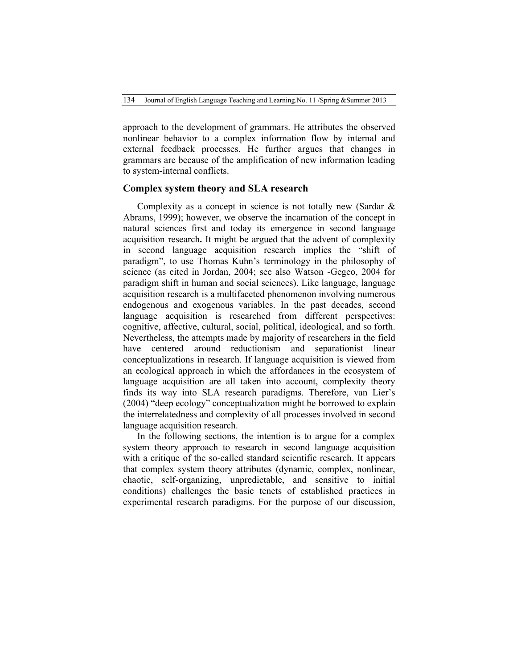approach to the development of grammars. He attributes the observed nonlinear behavior to a complex information flow by internal and external feedback processes. He further argues that changes in grammars are because of the amplification of new information leading to system-internal conflicts.

#### **Complex system theory and SLA research**

Complexity as a concept in science is not totally new (Sardar & Abrams, 1999); however, we observe the incarnation of the concept in natural sciences first and today its emergence in second language acquisition research**.** It might be argued that the advent of complexity in second language acquisition research implies the "shift of paradigm", to use Thomas Kuhn's terminology in the philosophy of science (as cited in Jordan, 2004; see also Watson -Gegeo, 2004 for paradigm shift in human and social sciences). Like language, language acquisition research is a multifaceted phenomenon involving numerous endogenous and exogenous variables. In the past decades, second language acquisition is researched from different perspectives: cognitive, affective, cultural, social, political, ideological, and so forth. Nevertheless, the attempts made by majority of researchers in the field have centered around reductionism and separationist linear conceptualizations in research. If language acquisition is viewed from an ecological approach in which the affordances in the ecosystem of language acquisition are all taken into account, complexity theory finds its way into SLA research paradigms. Therefore, van Lier's (2004) "deep ecology" conceptualization might be borrowed to explain the interrelatedness and complexity of all processes involved in second language acquisition research.

In the following sections, the intention is to argue for a complex system theory approach to research in second language acquisition with a critique of the so-called standard scientific research. It appears that complex system theory attributes (dynamic, complex, nonlinear, chaotic, self-organizing, unpredictable, and sensitive to initial conditions) challenges the basic tenets of established practices in experimental research paradigms. For the purpose of our discussion,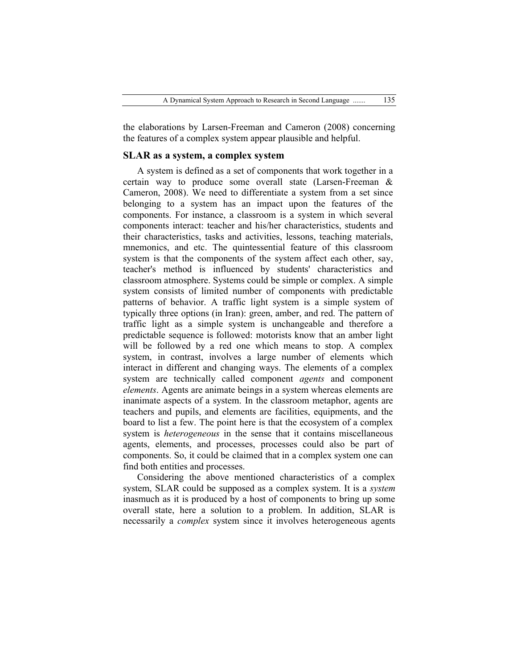the elaborations by Larsen-Freeman and Cameron (2008) concerning the features of a complex system appear plausible and helpful.

## **SLAR as a system, a complex system**

A system is defined as a set of components that work together in a certain way to produce some overall state (Larsen-Freeman & Cameron, 2008). We need to differentiate a system from a set since belonging to a system has an impact upon the features of the components. For instance, a classroom is a system in which several components interact: teacher and his/her characteristics, students and their characteristics, tasks and activities, lessons, teaching materials, mnemonics, and etc. The quintessential feature of this classroom system is that the components of the system affect each other, say, teacher's method is influenced by students' characteristics and classroom atmosphere. Systems could be simple or complex. A simple system consists of limited number of components with predictable patterns of behavior. A traffic light system is a simple system of typically three options (in Iran): green, amber, and red. The pattern of traffic light as a simple system is unchangeable and therefore a predictable sequence is followed: motorists know that an amber light will be followed by a red one which means to stop. A complex system, in contrast, involves a large number of elements which interact in different and changing ways. The elements of a complex system are technically called component *agents* and component *elements*. Agents are animate beings in a system whereas elements are inanimate aspects of a system. In the classroom metaphor, agents are teachers and pupils, and elements are facilities, equipments, and the board to list a few. The point here is that the ecosystem of a complex system is *heterogeneous* in the sense that it contains miscellaneous agents, elements, and processes, processes could also be part of components. So, it could be claimed that in a complex system one can find both entities and processes.

Considering the above mentioned characteristics of a complex system, SLAR could be supposed as a complex system. It is a *system* inasmuch as it is produced by a host of components to bring up some overall state, here a solution to a problem. In addition, SLAR is necessarily a *complex* system since it involves heterogeneous agents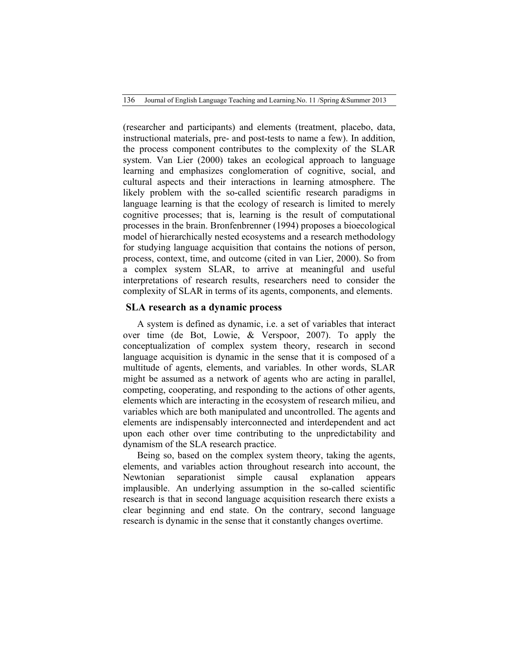136 Journal of English Language Teaching and Learning.No. 11 /Spring &Summer 2013

(researcher and participants) and elements (treatment, placebo, data, instructional materials, pre- and post-tests to name a few). In addition, the process component contributes to the complexity of the SLAR system. Van Lier (2000) takes an ecological approach to language learning and emphasizes conglomeration of cognitive, social, and cultural aspects and their interactions in learning atmosphere. The likely problem with the so-called scientific research paradigms in language learning is that the ecology of research is limited to merely cognitive processes; that is, learning is the result of computational processes in the brain. Bronfenbrenner (1994) proposes a bioecological model of hierarchically nested ecosystems and a research methodology for studying language acquisition that contains the notions of person, process, context, time, and outcome (cited in van Lier, 2000). So from a complex system SLAR, to arrive at meaningful and useful interpretations of research results, researchers need to consider the complexity of SLAR in terms of its agents, components, and elements.

## **SLA research as a dynamic process**

A system is defined as dynamic, i.e. a set of variables that interact over time (de Bot, Lowie, & Verspoor, 2007). To apply the conceptualization of complex system theory, research in second language acquisition is dynamic in the sense that it is composed of a multitude of agents, elements, and variables. In other words, SLAR might be assumed as a network of agents who are acting in parallel, competing, cooperating, and responding to the actions of other agents, elements which are interacting in the ecosystem of research milieu, and variables which are both manipulated and uncontrolled. The agents and elements are indispensably interconnected and interdependent and act upon each other over time contributing to the unpredictability and dynamism of the SLA research practice.

Being so, based on the complex system theory, taking the agents, elements, and variables action throughout research into account, the Newtonian separationist simple causal explanation appears implausible. An underlying assumption in the so-called scientific research is that in second language acquisition research there exists a clear beginning and end state. On the contrary, second language research is dynamic in the sense that it constantly changes overtime.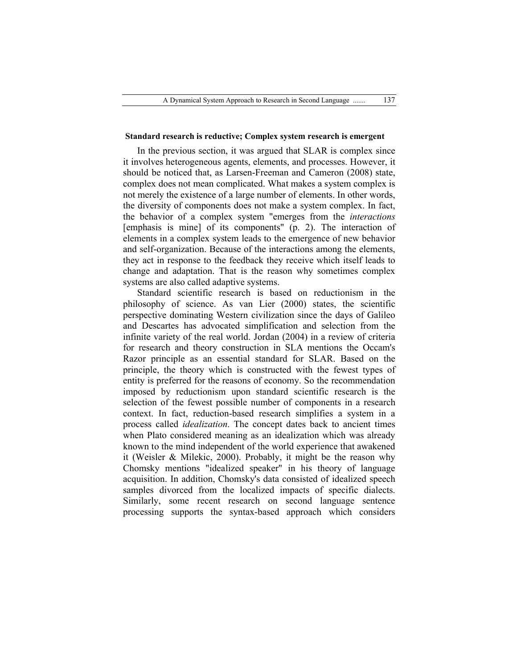#### **Standard research is reductive; Complex system research is emergent**

In the previous section, it was argued that SLAR is complex since it involves heterogeneous agents, elements, and processes. However, it should be noticed that, as Larsen-Freeman and Cameron (2008) state, complex does not mean complicated. What makes a system complex is not merely the existence of a large number of elements. In other words, the diversity of components does not make a system complex. In fact, the behavior of a complex system "emerges from the *interactions* [emphasis is mine] of its components" (p. 2). The interaction of elements in a complex system leads to the emergence of new behavior and self-organization. Because of the interactions among the elements, they act in response to the feedback they receive which itself leads to change and adaptation. That is the reason why sometimes complex systems are also called adaptive systems.

Standard scientific research is based on reductionism in the philosophy of science. As van Lier (2000) states, the scientific perspective dominating Western civilization since the days of Galileo and Descartes has advocated simplification and selection from the infinite variety of the real world. Jordan (2004) in a review of criteria for research and theory construction in SLA mentions the Occam's Razor principle as an essential standard for SLAR. Based on the principle, the theory which is constructed with the fewest types of entity is preferred for the reasons of economy. So the recommendation imposed by reductionism upon standard scientific research is the selection of the fewest possible number of components in a research context. In fact, reduction-based research simplifies a system in a process called *idealization*. The concept dates back to ancient times when Plato considered meaning as an idealization which was already known to the mind independent of the world experience that awakened it (Weisler & Milekic, 2000). Probably, it might be the reason why Chomsky mentions "idealized speaker" in his theory of language acquisition. In addition, Chomsky's data consisted of idealized speech samples divorced from the localized impacts of specific dialects. Similarly, some recent research on second language sentence processing supports the syntax-based approach which considers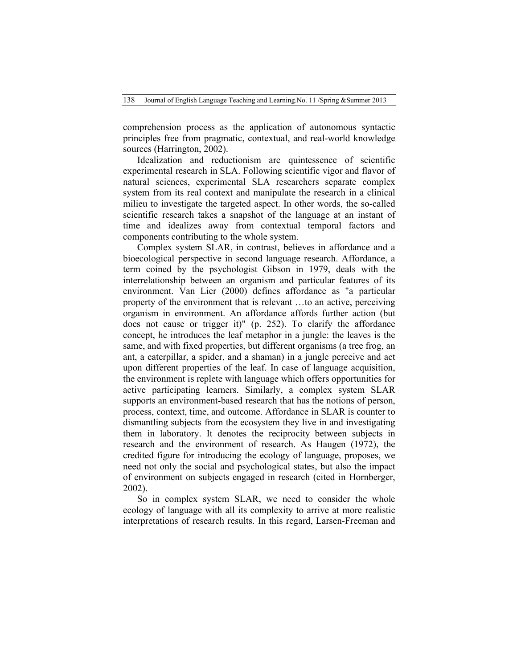138 Journal of English Language Teaching and Learning.No. 11 /Spring &Summer 2013

comprehension process as the application of autonomous syntactic principles free from pragmatic, contextual, and real-world knowledge sources (Harrington, 2002).

Idealization and reductionism are quintessence of scientific experimental research in SLA. Following scientific vigor and flavor of natural sciences, experimental SLA researchers separate complex system from its real context and manipulate the research in a clinical milieu to investigate the targeted aspect. In other words, the so-called scientific research takes a snapshot of the language at an instant of time and idealizes away from contextual temporal factors and components contributing to the whole system.

Complex system SLAR, in contrast, believes in affordance and a bioecological perspective in second language research. Affordance, a term coined by the psychologist Gibson in 1979, deals with the interrelationship between an organism and particular features of its environment. Van Lier (2000) defines affordance as "a particular property of the environment that is relevant …to an active, perceiving organism in environment. An affordance affords further action (but does not cause or trigger it)" (p. 252). To clarify the affordance concept, he introduces the leaf metaphor in a jungle: the leaves is the same, and with fixed properties, but different organisms (a tree frog, an ant, a caterpillar, a spider, and a shaman) in a jungle perceive and act upon different properties of the leaf. In case of language acquisition, the environment is replete with language which offers opportunities for active participating learners. Similarly, a complex system SLAR supports an environment-based research that has the notions of person, process, context, time, and outcome. Affordance in SLAR is counter to dismantling subjects from the ecosystem they live in and investigating them in laboratory. It denotes the reciprocity between subjects in research and the environment of research. As Haugen (1972), the credited figure for introducing the ecology of language, proposes, we need not only the social and psychological states, but also the impact of environment on subjects engaged in research (cited in Hornberger, 2002).

So in complex system SLAR, we need to consider the whole ecology of language with all its complexity to arrive at more realistic interpretations of research results. In this regard, Larsen-Freeman and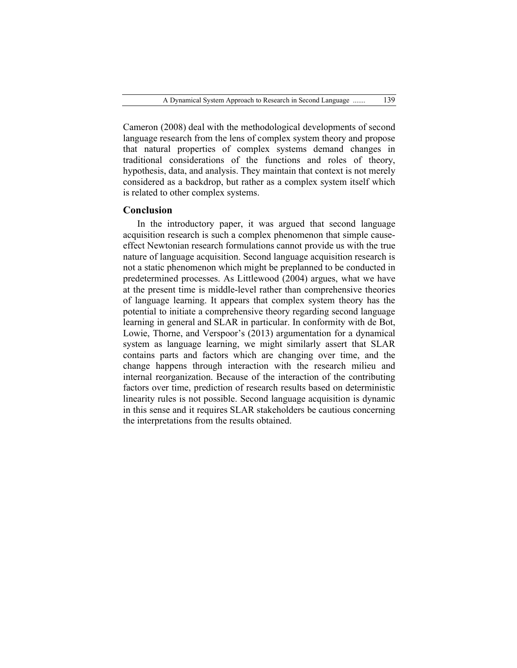Cameron (2008) deal with the methodological developments of second language research from the lens of complex system theory and propose that natural properties of complex systems demand changes in traditional considerations of the functions and roles of theory, hypothesis, data, and analysis. They maintain that context is not merely considered as a backdrop, but rather as a complex system itself which is related to other complex systems.

## **Conclusion**

In the introductory paper, it was argued that second language acquisition research is such a complex phenomenon that simple causeeffect Newtonian research formulations cannot provide us with the true nature of language acquisition. Second language acquisition research is not a static phenomenon which might be preplanned to be conducted in predetermined processes. As Littlewood (2004) argues, what we have at the present time is middle-level rather than comprehensive theories of language learning. It appears that complex system theory has the potential to initiate a comprehensive theory regarding second language learning in general and SLAR in particular. In conformity with de Bot, Lowie, Thorne, and Verspoor's (2013) argumentation for a dynamical system as language learning, we might similarly assert that SLAR contains parts and factors which are changing over time, and the change happens through interaction with the research milieu and internal reorganization. Because of the interaction of the contributing factors over time, prediction of research results based on deterministic linearity rules is not possible. Second language acquisition is dynamic in this sense and it requires SLAR stakeholders be cautious concerning the interpretations from the results obtained.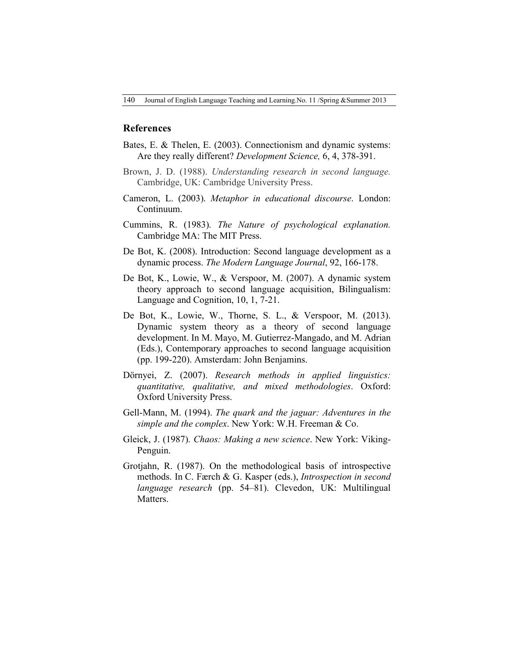#### **References**

- Bates, E. & Thelen, E. (2003). Connectionism and dynamic systems: Are they really different? *Development Science,* 6, 4, 378-391.
- Brown, J. D. (1988). *Understanding research in second language.*  Cambridge, UK: Cambridge University Press.
- Cameron, L. (2003). *Metaphor in educational discourse*. London: Continuum.
- Cummins, R. (1983). *The Nature of psychological explanation.*  Cambridge MA: The MIT Press.
- De Bot, K. (2008). Introduction: Second language development as a dynamic process. *The Modern Language Journal*, 92, 166-178.
- De Bot, K., Lowie, W., & Verspoor, M. (2007). A dynamic system theory approach to second language acquisition, Bilingualism: Language and Cognition, 10, 1, 7-21.
- De Bot, K., Lowie, W., Thorne, S. L., & Verspoor, M. (2013). Dynamic system theory as a theory of second language development. In M. Mayo, M. Gutierrez-Mangado, and M. Adrian (Eds.), Contemporary approaches to second language acquisition (pp. 199-220). Amsterdam: John Benjamins.
- Dörnyei, Z. (2007). *Research methods in applied linguistics: quantitative, qualitative, and mixed methodologies*. Oxford: Oxford University Press.
- Gell-Mann, M. (1994). *The quark and the jaguar: Adventures in the simple and the complex*. New York: W.H. Freeman & Co.
- Gleick, J. (1987). *Chaos: Making a new science*. New York: Viking-Penguin.
- Grotjahn, R. (1987). On the methodological basis of introspective methods. In C. Færch & G. Kasper (eds.), *Introspection in second language research* (pp. 54–81). Clevedon, UK: Multilingual Matters.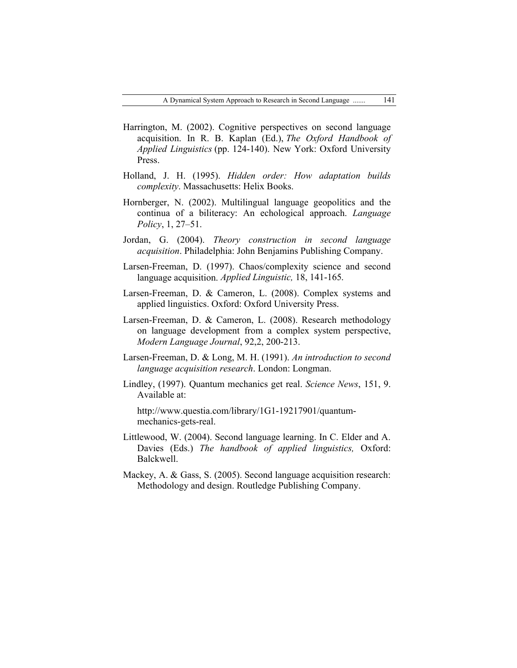- Harrington, M. (2002). Cognitive perspectives on second language acquisition. In R. B. Kaplan (Ed.), *The Oxford Handbook of Applied Linguistics* (pp. 124-140). New York: Oxford University Press.
- Holland, J. H. (1995). *Hidden order: How adaptation builds complexity*. Massachusetts: Helix Books.
- Hornberger, N. (2002). Multilingual language geopolitics and the continua of a biliteracy: An echological approach. *Language Policy*, 1, 27–51.
- Jordan, G. (2004). *Theory construction in second language acquisition*. Philadelphia: John Benjamins Publishing Company.
- Larsen-Freeman, D. (1997). Chaos/complexity science and second language acquisition. *Applied Linguistic,* 18, 141-165.
- Larsen-Freeman, D. & Cameron, L. (2008). Complex systems and applied linguistics. Oxford: Oxford University Press.
- Larsen-Freeman, D. & Cameron, L. (2008). Research methodology on language development from a complex system perspective, *Modern Language Journal*, 92,2, 200-213.
- Larsen-Freeman, D. & Long, M. H. (1991). *An introduction to second language acquisition research*. London: Longman.
- Lindley, (1997). Quantum mechanics get real. *Science News*, 151, 9. Available at:

http://www.questia.com/library/1G1-19217901/quantummechanics-gets-real.

- Littlewood, W. (2004). Second language learning. In C. Elder and A. Davies (Eds.) *The handbook of applied linguistics,* Oxford: Balckwell.
- Mackey, A. & Gass, S. (2005). Second language acquisition research: Methodology and design. Routledge Publishing Company.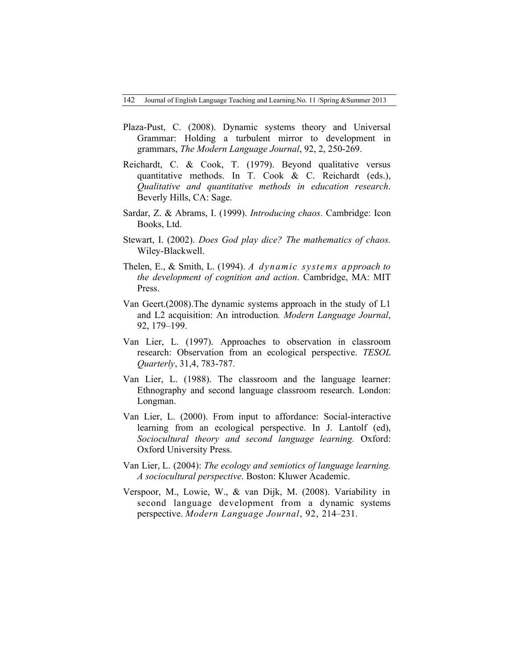- Plaza-Pust, C. (2008). Dynamic systems theory and Universal Grammar: Holding a turbulent mirror to development in grammars, *The Modern Language Journal*, 92, 2, 250-269.
- Reichardt, C. & Cook, T. (1979). Beyond qualitative versus quantitative methods. In T. Cook & C. Reichardt (eds.), *Qualitative and quantitative methods in education research*. Beverly Hills, CA: Sage.
- Sardar, Z. & Abrams, I. (1999). *Introducing chaos*. Cambridge: Icon Books, Ltd.
- Stewart, I. (2002). *Does God play dice? The mathematics of chaos.*  Wiley-Blackwell.
- Thelen, E., & Smith, L. (1994). *A dynamic systems approach to the development of cognition and action*. Cambridge, MA: MIT Press.
- Van Geert.(2008).The dynamic systems approach in the study of L1 and L2 acquisition: An introduction*. Modern Language Journal*, 92, 179–199.
- Van Lier, L. (1997). Approaches to observation in classroom research: Observation from an ecological perspective. *TESOL Quarterly*, 31,4, 783-787.
- Van Lier, L. (1988). The classroom and the language learner: Ethnography and second language classroom research. London: Longman.
- Van Lier, L. (2000). From input to affordance: Social-interactive learning from an ecological perspective. In J. Lantolf (ed), *Sociocultural theory and second language learning.* Oxford: Oxford University Press.
- Van Lier, L. (2004): *The ecology and semiotics of language learning. A sociocultural perspective*. Boston: Kluwer Academic.
- Verspoor, M., Lowie, W., & van Dijk, M. (2008). Variability in second language development from a dynamic systems perspective. *Modern Language Journal*, 92, 214–231.